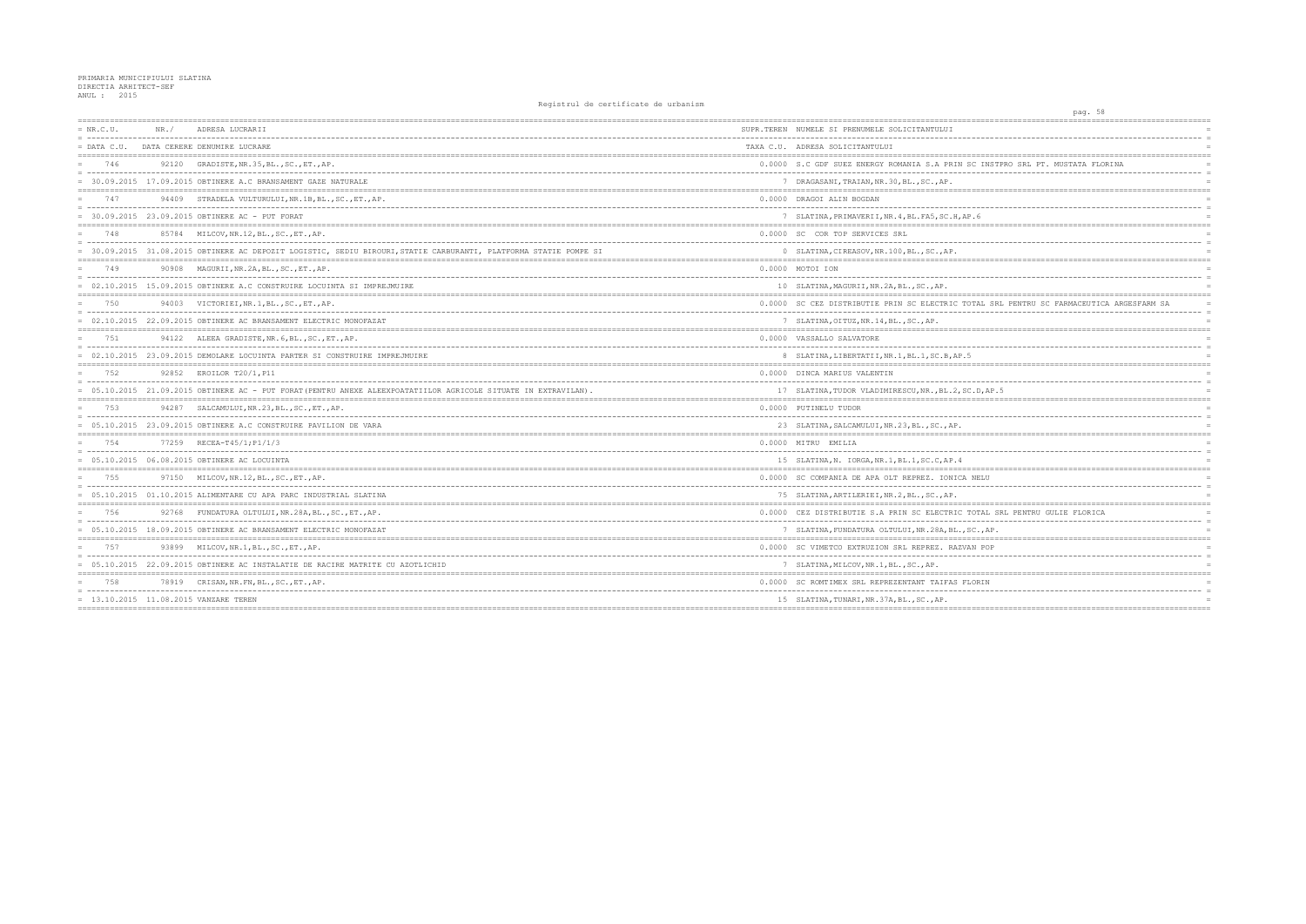| $= NR.C.U.$   | NR. / | ADRESA LUCRARII                                                                                                   | SUPR.TEREN NUMELE SI PRENUMELE SOLICITANTULUI       |
|---------------|-------|-------------------------------------------------------------------------------------------------------------------|-----------------------------------------------------|
| $=$ DATA C.U. |       | DATA CERERE DENUMIRE LUCRARE                                                                                      | TAXA C.U. ADRESA SOLICITANTULUI                     |
| 746           |       | 92120 GRADISTE, NR. 35, BL., SC., ET., AP.                                                                        | 0.0000 S.C GDF SUEZ ENERGY ROMANIA S.A PRIN SC I    |
|               |       | = 30.09.2015 17.09.2015 OBTINERE A.C BRANSAMENT GAZE NATURALE                                                     | 7 DRAGASANI, TRAIAN, NR.30, BL., SC., AP.           |
| 747           | 94409 | STRADELA VULTURULUI, NR. 1B, BL., SC., ET., AP.                                                                   | 0.0000 DRAGOI ALIN BOGDAN                           |
|               |       | $= 30.09.2015 23.09.2015$ OBTINERE AC - PUT FORAT                                                                 | 7 SLATINA, PRIMAVERII, NR. 4, BL. FA5, SC. H, AP. 6 |
| 748           |       | 85784 MILCOV, NR. 12, BL., SC., ET., AP.                                                                          | 0.0000 SC COR TOP SERVICES SRL                      |
|               |       | = 30.09.2015 31.08.2015 OBTINERE AC DEPOZIT LOGISTIC, SEDIU BIROURI, STATIE CARBURANTI, PLATFORMA STATIE POMPE SI | 0 SLATINA, CIREASOV, NR. 100, BL., SC., AP.         |
| 749           |       | 90908 MAGURII, NR. 2A, BL., SC., ET., AP.                                                                         | 0.0000 MOTOI ION                                    |
|               |       | = 02.10.2015 15.09.2015 OBTINERE A.C CONSTRUIRE LOCUINTA SI IMPREJMUIRE                                           | 10 SLATINA, MAGURII, NR.2A, BL., SC., AP.           |
| 750           |       | 94003 VICTORIEI, NR. 1, BL., SC., ET., AP.                                                                        | 0.0000 SC CEZ DISTRIBUTIE PRIN SC ELECTRIC TOTAL    |
|               |       | 02.10.2015 22.09.2015 OBTINERE AC BRANSAMENT ELECTRIC MONOFAZAT                                                   | 7 SLATINA, OITUZ, NR. 14, BL., SC., AP.             |
| 751           |       | 94122 ALEEA GRADISTE, NR. 6, BL., SC., ET., AP.                                                                   | 0.0000 VASSALLO SALVATORE                           |
|               |       | = 02.10.2015 23.09.2015 DEMOLARE LOCUINTA PARTER SI CONSTRUIRE IMPREJMUIRE                                        | 8 SLATINA, LIBERTATII, NR. 1, BL. 1, SC. B, AP. 5   |
| 752           |       | 92852 EROILOR T20/1, P11                                                                                          | 0.0000 DINCA MARIUS VALENTIN                        |
|               |       | = 05.10.2015 21.09.2015 OBTINERE AC - PUT FORAT (PENTRU ANEXE ALEEXPOATATIILOR AGRICOLE SITUATE IN EXTRAVILAN).   | 17 SLATINA, TUDOR VLADIMIRESCU, NR., BL.2, SC.D,    |
| 753           |       | 94287 SALCAMULUI, NR.23, BL., SC., ET., AP.                                                                       | 0.0000 PUTINELU TUDOR                               |
|               |       | = 05.10.2015 23.09.2015 OBTINERE A.C CONSTRUIRE PAVILION DE VARA                                                  | 23 SLATINA, SALCAMULUI, NR. 23, BL., SC., AP.       |
| 754           |       | 77259 RECEA-T45/1; P1/1/3                                                                                         | 0.0000 MITRU EMILIA                                 |
|               |       | $= 05.10.2015 06.08.2015$ OBTINERE AC LOCUINTA                                                                    | 15 SLATINA, N. IORGA, NR. 1, BL. 1, SC. C, AP. 4    |
| 755           |       | 97150 MILCOV, NR. 12, BL., SC., ET., AP.                                                                          | 0.0000 SC COMPANIA DE APA OLT REPREZ. IONICA NEL    |
|               |       | = 05.10.2015 01.10.2015 ALIMENTARE CU APA PARC INDUSTRIAL SLATINA                                                 | 75 SLATINA, ARTILERIEI, NR. 2, BL., SC., AP.        |
| 756           |       | 92768 FUNDATURA OLTULUI, NR. 28A, BL., SC., ET., AP.                                                              | 0.0000 CEZ DISTRIBUTIE S.A PRIN SC ELECTRIC TOTA    |
|               |       | = 05.10.2015 18.09.2015 OBTINERE AC BRANSAMENT ELECTRIC MONOFAZAT                                                 | 7 SLATINA, FUNDATURA OLTULUI, NR. 28A, BL., SC.,    |
| 757           |       | 93899 MILCOV, NR.1, BL., SC., ET., AP.                                                                            | 0.0000 SC VIMETCO EXTRUZION SRL REPREZ, RAZVAN P    |
|               |       | 05.10.2015 22.09.2015 OBTINERE AC INSTALATIE DE RACIRE MATRITE CU AZOTLICHID                                      | 7 SLATINA, MILCOV, NR. 1, BL., SC., AP.             |
| 758           |       | 78919 CRISAN, NR. FN, BL., SC., ET., AP.                                                                          | 0.0000 SC ROMTIMEX SRL REPREZENTANT TAIFAS FLORI    |
|               |       | = 13.10.2015 11.08.2015 VANZARE TEREN                                                                             | 15 SLATINA, TUNARI, NR. 37A, BL., SC., AP.          |
|               |       |                                                                                                                   |                                                     |

| pag. 58                                       |                |
|-----------------------------------------------|----------------|
|                                               |                |
| ---------------------------                   | $\equiv$       |
| =======                                       | $=$            |
| NSTPRO SRL PT. MUSTATA FLORINA                | $=$            |
|                                               |                |
|                                               |                |
|                                               |                |
|                                               | $\equiv$       |
| =======                                       | $=$            |
|                                               | $=$            |
|                                               | $\equiv$       |
|                                               |                |
|                                               | $\equiv$       |
|                                               | $\equiv$       |
|                                               |                |
| SRL PENTRU SC FARMACEUTICA ARGESFARM SA       |                |
| ------                                        | $\equiv$       |
|                                               | $\overline{a}$ |
|                                               |                |
|                                               | $\equiv$       |
|                                               |                |
|                                               | $=$            |
|                                               | $\equiv$       |
| AP.5                                          |                |
|                                               |                |
|                                               | $\equiv$       |
|                                               |                |
|                                               | $=$            |
|                                               | $\equiv$       |
|                                               | $=$            |
| Ţ                                             |                |
|                                               | $\overline{a}$ |
|                                               |                |
|                                               |                |
| SRL PENTRU GULIE FLORICA                      | $\equiv$       |
| AΡ.                                           | $=$            |
| $=$<br>-------------------------------------- |                |
| DΡ                                            | $\equiv$       |
|                                               | $\equiv$       |
| ==========                                    |                |
| J                                             |                |
|                                               |                |
|                                               |                |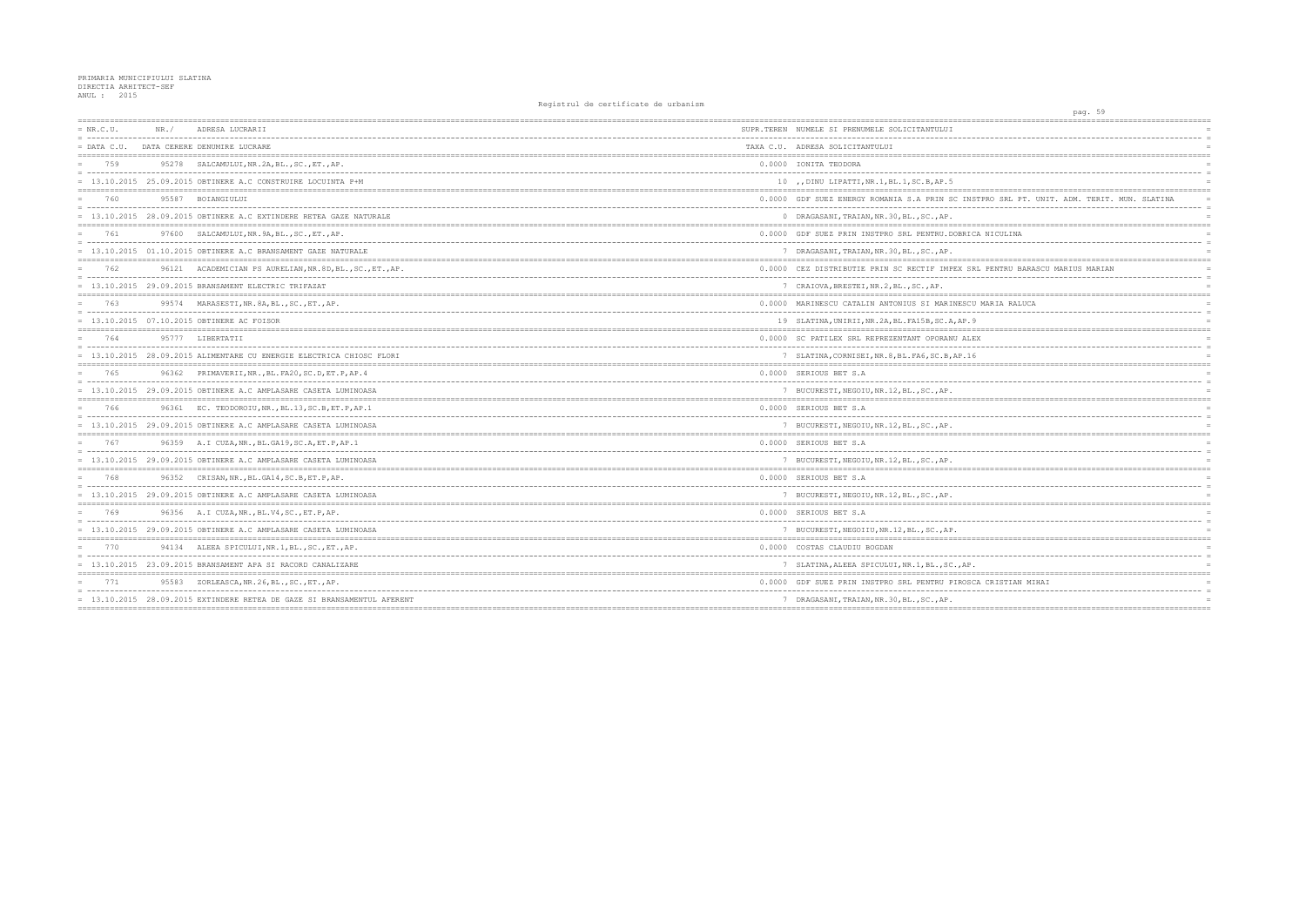## PRIMARIA MUNICIPIULUI SLATINA<br>DIRECTIA ARHITECT-SEF<br>ANUL : 2015

| $= NR.C.U.$   | NR. / | ADRESA LUCRARII                                                                                                                        | SUPR.TEREN NUMELE SI PRENUMELE SOLICITANTULUI       |
|---------------|-------|----------------------------------------------------------------------------------------------------------------------------------------|-----------------------------------------------------|
| $=$ DATA C.U. |       | DATA CERERE DENUMIRE LUCRARE                                                                                                           | TAXA C.U. ADRESA SOLICITANTULUI                     |
| 759           | 95278 | SALCAMULUI, NR.2A, BL., SC., ET., AP.                                                                                                  | 0.0000 IONITA TEODORA                               |
|               |       | $= 13.10.2015 25.09.2015$ OBTINERE A.C CONSTRUIRE LOCUINTA P+M                                                                         | 10 , DINU LIPATTI, NR.1, BL.1, SC.B, AP.5           |
| 760           |       | 95587 BOIANGIULUI                                                                                                                      | 0.0000 GDF SUEZ ENERGY ROMANIA S.A PRIN SC INSTPRO  |
|               |       | = 13.10.2015 28.09.2015 OBTINERE A.C EXTINDERE RETEA GAZE NATURALE                                                                     | 0 DRAGASANI, TRAIAN, NR.30, BL., SC., AP.           |
| 761           | 97600 | SALCAMULUI.NR.9A.BLSCETAP.                                                                                                             | 0.0000 GDF SUEZ PRIN INSTPRO SRL PENTRU.DOBRICA NI  |
|               |       | $= 13.10.2015$ 01.10.2015 OBTINERE A.C BRANSAMENT GAZE NATURALE                                                                        | 7 DRAGASANI, TRAIAN, NR.30, BL., SC., AP.           |
| 762           | 96121 | ACADEMICIAN PS AURELIAN, NR. 8D, BL., SC., ET., AP.<br>= concertational control control concertation and concertation and concertation | 0.0000 CEZ DISTRIBUTIE PRIN SC RECTIF IMPEX SRL PE  |
|               |       | $= 13.10.2015 29.09.2015$ BRANSAMENT ELECTRIC TRIFAZAT                                                                                 | 7 CRAIOVA, BRESTEI, NR.2, BL., SC., AP.             |
| 763           |       | 99574 MARASESTI, NR. 8A, BL., SC., ET., AP.                                                                                            | 0.0000 MARINESCU CATALIN ANTONIUS SI MARINESCU MAR  |
|               |       | 13.10.2015 07.10.2015 OBTINERE AC FOISOR                                                                                               | 19 SLATINA, UNIRII, NR. 2A, BL. FA15B, SC. A, AP. 9 |
| 764           |       | 95777 LIBERTATII                                                                                                                       | 0.0000 SC PATILEX SRL REPREZENTANT OPORANU ALEX     |
|               |       | = 13.10.2015 28.09.2015 ALIMENTARE CU ENERGIE ELECTRICA CHIOSC FLORI                                                                   | 7 SLATINA, CORNISEI, NR. 8, BL. FA6, SC. B, AP. 16  |
| 765           | 96362 | PRIMAVERII, NR., BL. FA20, SC.D, ET.P, AP. 4                                                                                           | 0.0000 SERIOUS BET S.A                              |
|               |       | $= 13.10.2015$ 29.09.2015 OBTINERE A.C AMPLASARE CASETA LUMINOASA                                                                      | 7 BUCURESTI, NEGOIU, NR.12, BL., SC., AP.           |
| 766           |       | 96361 EC. TEODOROIU, NR., BL.13, SC.B, ET.P, AP.1                                                                                      | 0.0000 SERIOUS BET S.A                              |
|               |       | $= 13.10.2015$ 29.09.2015 OBTINERE A.C AMPLASARE CASETA LUMINOASA                                                                      | 7 BUCURESTI, NEGOIU, NR.12, BL., SC., AP.           |
| 767           |       | 96359 A.I CUZA, NR., BL. GA19, SC. A, ET. P, AP. 1                                                                                     | 0.0000 SERIOUS BET S.A                              |
|               |       | 13.10.2015 29.09.2015 OBTINERE A.C AMPLASARE CASETA LUMINOASA                                                                          | 7 BUCURESTI, NEGOIU, NR.12, BL., SC., AP.           |
| 768           |       | 96352 CRISAN, NR., BL. GA14, SC. B, ET. P, AP.                                                                                         | 0.0000 SERIOUS BET S.A                              |
|               |       | = 13.10.2015 29.09.2015 OBTINERE A.C AMPLASARE CASETA LUMINOASA                                                                        | 7 BUCURESTI, NEGOIU, NR.12, BL., SC., AP.           |
| 769           |       | 96356 A.I CUZA, NR., BL.V4, SC., ET.P, AP.                                                                                             | 0.0000 SERIOUS BET S.A                              |
|               |       | $= 13.10.2015$ 29.09.2015 OBTINERE A.C AMPLASARE CASETA LUMINOASA                                                                      | 7 BUCURESTI, NEGOIIU, NR.12, BL., SC., AP.          |
| 770           | 94134 | ALEEA SPICULUI, NR. 1, BL., SC., ET., AP.                                                                                              | 0.0000 COSTAS CLAUDIU BOGDAN                        |
|               |       | = 13.10.2015 23.09.2015 BRANSAMENT APA SI RACORD CANALIZARE                                                                            | 7 SLATINA, ALEEA SPICULUI, NR. 1, BL., SC., AP.     |
| 771           | 95583 | ZORLEASCA, NR. 26, BL., SC., ET., AP.                                                                                                  | 0.0000 GDF SUEZ PRIN INSTPRO SRL PENTRU PIROSCA CR  |
|               |       | 13.10.2015 28.09.2015 EXTINDERE RETEA DE GAZE SI BRANSAMENTUL AFERENT                                                                  | 7 DRAGASANI, TRAIAN, NR.30, BL., SC., AP.           |
|               |       |                                                                                                                                        |                                                     |

| pag. 59                                                           |                 |
|-------------------------------------------------------------------|-----------------|
|                                                                   |                 |
| -----------------                                                 |                 |
|                                                                   |                 |
|                                                                   |                 |
|                                                                   | $\equiv$        |
|                                                                   |                 |
| TPRO SRL PT. UNIT. ADM. TERIT. MUN. SLATINA<br>------------------ | $\equiv$        |
|                                                                   |                 |
|                                                                   | $=$             |
| A NICULINA                                                        | $=$<br>$\equiv$ |
|                                                                   |                 |
|                                                                   | $\equiv$        |
| L PENTRU BARASCU MARIUS MARIAN                                    | $\equiv$        |
|                                                                   | $=$             |
|                                                                   |                 |
| MARIA RALUCA                                                      | $\equiv$        |
|                                                                   |                 |
|                                                                   |                 |
| ζ                                                                 | $\equiv$        |
|                                                                   | $\overline{a}$  |
|                                                                   |                 |
| --- -                                                             |                 |
|                                                                   | $\overline{a}$  |
|                                                                   | $=$             |
|                                                                   | $\equiv$        |
|                                                                   |                 |
|                                                                   |                 |
|                                                                   | $\equiv$        |
|                                                                   |                 |
|                                                                   |                 |
|                                                                   |                 |
|                                                                   |                 |
|                                                                   |                 |
|                                                                   | $\equiv$        |
|                                                                   |                 |
|                                                                   |                 |
| --------------------------------------                            | $\equiv$        |
|                                                                   |                 |
| A CRISTIAN MIHAI                                                  |                 |
|                                                                   |                 |
|                                                                   | $=$             |
|                                                                   |                 |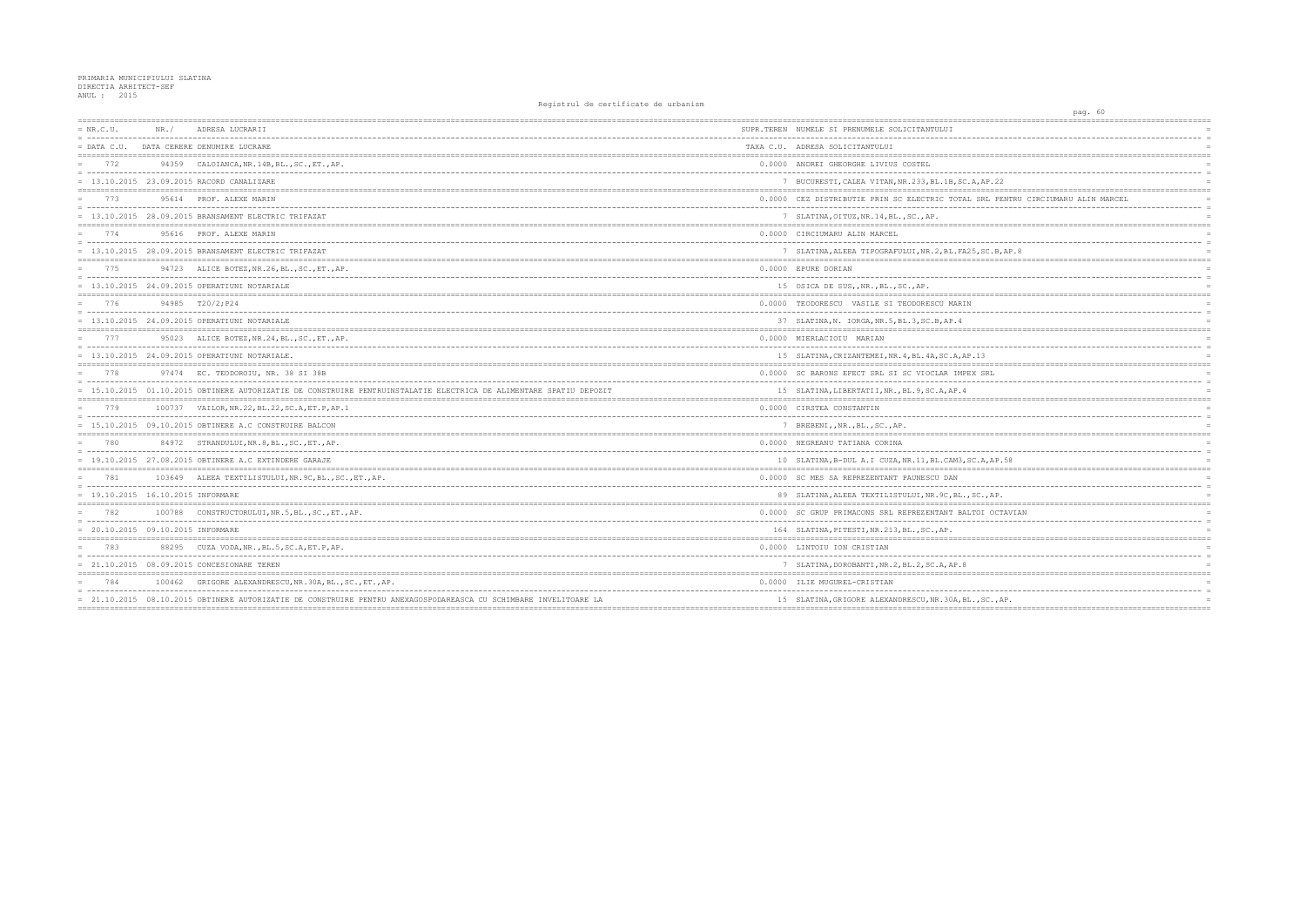## PRIMARIA MUNICIPIULUI SLATINA<br>DIRECTIA ARHITECT-SEF<br>ANUL : 2015

| $= NR.C.U.$<br>= ------------------------------------ | NR. / | ADRESA LUCRARII                                                                                                    | SUPR.TEREN NUMELE SI PRENUMELE SOLICITANTULUI         |
|-------------------------------------------------------|-------|--------------------------------------------------------------------------------------------------------------------|-------------------------------------------------------|
|                                                       |       | = DATA C.U. DATA CERERE DENUMIRE LUCRARE                                                                           | TAXA C.U. ADRESA SOLICITANTULUI                       |
| 772                                                   |       | 94359 CALOIANCA, NR. 14B, BL., SC., ET., AP.                                                                       | 0.0000 ANDREI GHEORGHE LIVIUS COSTEL                  |
|                                                       |       | = 13.10.2015 23.09.2015 RACORD CANALIZARE                                                                          | 7 BUCURESTI, CALEA VITAN, NR. 233, BL. 1B, SC. A, AP  |
| 773                                                   |       | 95614 PROF. ALEXE MARIN                                                                                            | 0.0000 CEZ DISTRIBUTIE PRIN SC ELECTRIC TOTAL SRI     |
|                                                       |       | = 13.10.2015 28.09.2015 BRANSAMENT ELECTRIC TRIFAZAT                                                               | 7 SLATINA, OITUZ, NR. 14, BL., SC., AP.               |
| 774                                                   |       | 95616 PROF. ALEXE MARIN                                                                                            | 0.0000 CIRCIUMARU ALIN MARCEL                         |
|                                                       |       | $= 13.10.2015 28.09.2015$ BRANSAMENT ELECTRIC TRIFAZAT                                                             | 7 SLATINA, ALEEA TIPOGRAFULUI, NR. 2, BL. FA25, SO    |
| 775                                                   |       | 94723 ALICE BOTEZ, NR. 26, BL., SC., ET., AP.                                                                      | 0.0000 EPURE DORIAN                                   |
|                                                       |       | $= 13.10.2015$ 24.09.2015 OPERATIUNI NOTARIALE                                                                     | 15 OSICA DE SUS, NR., BL., SC., AP.                   |
| 776                                                   |       | 94985 T20/2:P24                                                                                                    | 0.0000 TEODORESCU VASILE SI TEODORESCU MARIN          |
|                                                       |       | $= 13.10.2015 24.09.2015$ OPERATIUNI NOTARIALE                                                                     | 37 SLATINA, N. IORGA, NR. 5, BL. 3, SC. B, AP. 4      |
| 777                                                   |       | 95023 ALICE BOTEZ, NR.24, BL., SC., ET., AP.                                                                       | 0.0000 MIERLACIOIU MARIAN                             |
|                                                       |       | $= 13.10.2015 24.09.2015$ OPERATIUNI NOTARIALE.                                                                    | 15 SLATINA, CRIZANTEMEI, NR. 4, BL. 4A, SC. A, AP. 13 |
| 778                                                   |       | 97474 EC. TEODOROIU, NR. 38 SI 38B                                                                                 | 0.0000 SC BARONS EFECT SRL SI SC VIOCLAR IMPEX SP     |
|                                                       |       | = 15.10.2015 01.10.2015 OBTINERE AUTORIZATIE DE CONSTRUIRE PENTRUINSTALATIE ELECTRICA DE ALIMENTARE SPATIU DEPOZIT | 15 SLATINA, LIBERTATII, NR., BL. 9, SC. A, AP. 4      |
| 779                                                   |       | 100737 VAILOR, NR. 22, BL. 22, SC. A, ET. P, AP. 1                                                                 | 0.0000 CIRSTEA CONSTANTIN                             |
|                                                       |       | $= 15.10.2015 09.10.2015$ OBTINERE A.C CONSTRUIRE BALCON                                                           | 7 BREBENI,, NR., BL., SC., AP.                        |
| 780                                                   |       | 84972 STRANDULUI, NR. 8, BL., SC., ET., AP.                                                                        | 0.0000 NEGREANU TATIANA CORINA                        |
|                                                       |       | $= 19.10.2015 27.08.2015$ OBTINERE A.C EXTINDERE GARAJE                                                            | 10 SLATINA, B-DUL A.I CUZA, NR.11, BL.CAM3, SC.A,     |
| 781                                                   |       | 103649 ALEEA TEXTILISTULUI, NR. 9C, BL., SC., ET., AP.                                                             | 0.0000 SC MES SA REPREZENTANT PAUNESCU DAN            |
| = 19.10.2015 16.10.2015 INFORMARE                     |       |                                                                                                                    | 89 SLATINA, ALEEA TEXTILISTULUI, NR. 9C, BL., SC.,    |
| 782                                                   |       | 100788 CONSTRUCTORULUI, NR.5, BL., SC., ET., AP.                                                                   | 0.0000 SC GRUP PRIMACONS SRL REPREZENTANT BALTOI      |
| = 20.10.2015 09.10.2015 INFORMARE                     |       |                                                                                                                    | 164 SLATINA, PITESTI, NR. 213, BL., SC., AP.          |
| 783                                                   |       | 88295 CUZA VODA, NR., BL.5, SC.A, ET.P, AP.                                                                        | 0.0000 LINTOIU ION CRISTIAN                           |
|                                                       |       | = 21.10.2015 08.09.2015 CONCESIONARE TEREN                                                                         | 7 SLATINA, DOROBANTI, NR. 2, BL. 2, SC. A, AP. 8      |
| 784                                                   |       | 100462 GRIGORE ALEXANDRESCU, NR. 30A, BL., SC., ET., AP.                                                           | 0.0000 ILIE MUGUREL-CRISTIAN                          |
|                                                       |       | = 21.10.2015 08.10.2015 OBTINERE AUTORIZATIE DE CONSTRUIRE PENTRU ANEXAGOSPODAREASCA CU SCHIMBARE INVELITOARE LA   | 15 SLATINA, GRIGORE ALEXANDRESCU, NR. 30A, BL., SO    |
|                                                       |       |                                                                                                                    |                                                       |

| pag. 60                                   |                            |
|-------------------------------------------|----------------------------|
| $---$                                     |                            |
|                                           | $\overline{a}$             |
|                                           | $\overline{a}$             |
|                                           |                            |
|                                           | $=$                        |
| 2.22                                      | $=$                        |
| ;=================================<br>$=$ |                            |
| L PENTRU CIRCIUMARU ALIN MARCEL           |                            |
|                                           | $\overline{a}$<br>$\equiv$ |
| $== == ==$                                |                            |
|                                           |                            |
|                                           | $\equiv$                   |
| $B$ , $B$ , $AP$ . 8<br>$====$            |                            |
|                                           | $=$                        |
|                                           | $\overline{a}$             |
|                                           | $=$                        |
| =======                                   |                            |
|                                           | $\overline{a}$             |
|                                           |                            |
|                                           |                            |
|                                           | $\equiv$                   |
|                                           | $=$                        |
| ==========<br>------------------------    |                            |
| ΚL                                        | $\overline{a}$             |
|                                           | $\equiv$                   |
| =======                                   | $=$ $=$ $=$                |
|                                           |                            |
|                                           | $\overline{a}$             |
| =========                                 |                            |
|                                           | $=$                        |
|                                           | $\equiv$                   |
| AP.58<br>========                         | $=$ $=$ $=$                |
|                                           |                            |
| .                                         | $\equiv$                   |
| AP.                                       | $=$                        |
| OCTAVIAN                                  | $\equiv$                   |
|                                           | $\overline{a}$             |
|                                           |                            |
| ========<br>============================  | $=$                        |
|                                           | $\equiv$                   |
|                                           |                            |
|                                           | $=$                        |
| -----<br>------------                     | $\equiv$                   |
| $\mathbb{C}$ ., AP.                       |                            |
| =====                                     |                            |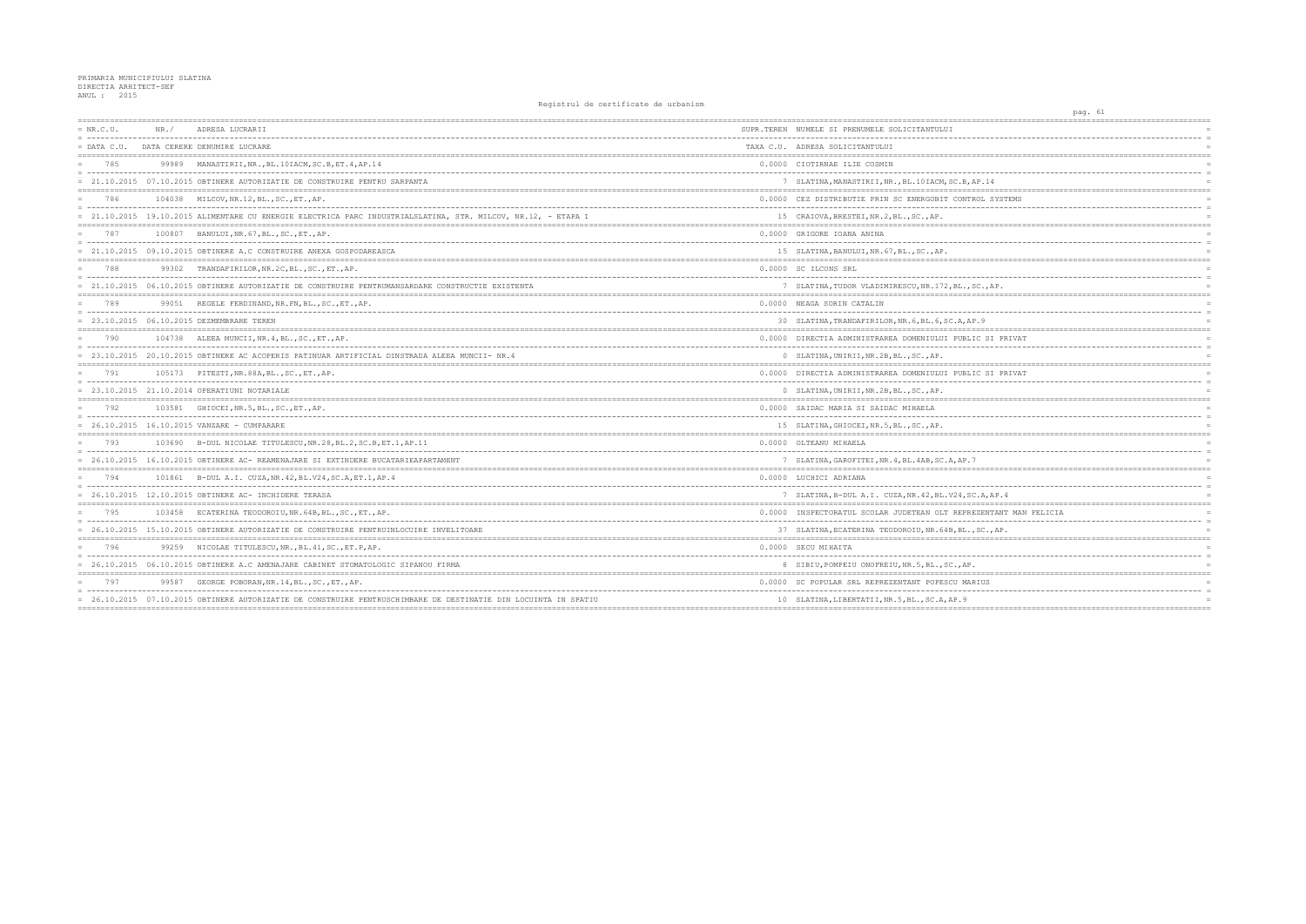## PRIMARIA MUNICIPIULUI SLATINA<br>DIRECTIA ARHITECT-SEF<br>ANUL : 2015

| $= NR.C.U.$   | NR.    | ADRESA LUCRARII                                                                                                 | SUPR.TEREN NUMELE SI PRENUMELE SOLICITANTULUI         |
|---------------|--------|-----------------------------------------------------------------------------------------------------------------|-------------------------------------------------------|
| $=$ DATA C.U. |        | DATA CERERE DENUMIRE LUCRARE                                                                                    | TAXA C.U. ADRESA SOLICITANTULUI                       |
| 785           |        | 99989 MANASTIRII, NR., BL. 10IACM, SC. B, ET. 4, AP. 14                                                         | 0.0000 CIOTIRNAE ILIE COSMIN                          |
|               |        | = 21.10.2015 07.10.2015 OBTINERE AUTORIZATIE DE CONSTRUIRE PENTRU SARPANTA                                      | 7 SLATINA, MANASTIRII, NR., BL. 10IACM, SC.B, AP.1    |
| 786           | 104038 | MILCOV, NR.12, BL., SC., ET., AP.                                                                               | 0.0000 CEZ DISTRIBUTIE PRIN SC ENERGOBIT CONTROI      |
|               |        | = 21.10.2015 19.10.2015 ALIMENTARE CU ENERGIE ELECTRICA PARC INDUSTRIALSLATINA, STR. MILCOV, NR.12, - ETAPA I   | 15 CRAIOVA, BRESTEI, NR.2, BL., SC., AP.              |
| 787           |        | 100807 BANULUI, NR. 67, BL., SC., ET., AP.                                                                      | 0.0000 GRIGORE IOANA ANINA                            |
|               |        | = 21.10.2015 09.10.2015 OBTINERE A.C CONSTRUIRE ANEXA GOSPODAREASCA                                             | 15 SLATINA, BANULUI, NR. 67, BL., SC., AP.            |
| 788           |        | 99302 TRANDAFIRILOR, NR. 2C, BL., SC., ET., AP.                                                                 | 0.0000 SC ILCONS SRL                                  |
|               |        | = 21.10.2015 06.10.2015 OBTINERE AUTORIZATIE DE CONSTRUIRE PENTRUMANSARDARE CONSTRUCTIE EXISTENTA               | 7 SLATINA, TUDOR VLADIMIRESCU, NR. 172, BL., SC.,     |
| 789           |        | 99051 REGELE FERDINAND, NR. FN, BL., SC., ET., AP.                                                              | 0.0000 NEAGA SORIN CATALIN                            |
|               |        | $= 23.10.2015 06.10.2015$ DEZMEMBRARE TEREN                                                                     | 30 SLATINA, TRANDAFIRILOR, NR. 6, BL. 6, SC. A, AP. 9 |
| 790           |        | 104738 ALEEA MUNCII, NR. 4, BL., SC., ET., AP.                                                                  | 0.0000 DIRECTIA ADMINISTRAREA DOMENIULUI PUBLIC S     |
|               |        | = 23.10.2015 20.10.2015 OBTINERE AC ACOPERIS PATINUAR ARTIFICIAL DINSTRADA ALEEA MUNCII- NR.4                   | 0 SLATINA, UNIRII, NR.2B, BL., SC., AP.               |
| 791           |        | 105173 PITESTI, NR. 88A, BL., SC., ET., AP.                                                                     | 0.0000 DIRECTIA ADMINISTRAREA DOMENIULUI PUBLIC S     |
|               |        | $= 23.10.2015 21.10.2014$ OPERATIUNI NOTARIALE                                                                  | 0 SLATINA, UNIRII, NR.2B, BL., SC., AP.               |
| 792           |        | 103581 GHIOCEI, NR.5, BL., SC., ET., AP.                                                                        | 0.0000 SAIDAC MARIA SI SAIDAC MIHAELA                 |
|               |        | $= 26.10.2015 16.10.2015$ VANZARE - CUMPARARE                                                                   | 15 SLATINA, GHIOCEI, NR.5, BL., SC., AP.              |
| 793           |        | 103690 B-DUL NICOLAE TITULESCU, NR.28, BL.2, SC.B, ET.1, AP.11                                                  | 0.0000 OLTEANU MIHAELA                                |
|               |        | = 26.10.2015 16.10.2015 OBTINERE AC- REAMENAJARE SI EXTINDERE BUCATARIEAPARTAMENT                               | 7 SLATINA, GAROFITEI, NR. 4, BL. 4AB, SC. A, AP. 7    |
| 794           |        | 101861 B-DUL A.I. CUZA, NR. 42, BL. V24, SC. A, ET. 1, AP. 4                                                    | 0.0000 LUCHICI ADRIANA                                |
|               |        | $= 26.10.2015 12.10.2015$ OBTINERE AC- INCHIDERE TERASA                                                         | 7 SLATINA, B-DUL A.I. CUZA, NR. 42, BL. V24, SC.A,    |
| 795           |        | 103458 ECATERINA TEODOROIU, NR. 64B, BL., SC., ET., AP.                                                         | 0.0000 INSPECTORATUL SCOLAR JUDETEAN OLT REPREZEN     |
|               |        | = 26.10.2015 15.10.2015 OBTINERE AUTORIZATIE DE CONSTRUIRE PENTRUINLOCUIRE INVELITOARE                          | 37 SLATINA, ECATERINA TEODOROIU, NR. 64B, BL., SC.    |
| 796           |        | 99259 NICOLAE TITULESCU, NR., BL. 41, SC., ET. P, AP.                                                           | 0.0000 SECU MIHAITA                                   |
|               |        | = 26.10.2015 06.10.2015 OBTINERE A.C AMENAJARE CABINET STOMATOLOGIC SIPANOU FIRMA                               | 8 SIBIU, POMPEIU ONOFREIU, NR.5, BL., SC., AP.        |
| 797           | 99587  | GEORGE POBORAN, NR.14, BL., SC., ET., AP.                                                                       | 0.0000 SC POPULAR SRL REPREZENTANT POPESCU MARIUS     |
|               |        | = 26.10.2015 07.10.2015 OBTINERE AUTORIZATIE DE CONSTRUIRE PENTRUSCHIMBARE DE DESTINATIE DIN LOCUINTA IN SPATIU | 10 SLATINA, LIBERTATII, NR.5, BL., SC.A, AP.9         |
|               |        |                                                                                                                 |                                                       |

| ======                                | pag. 61 |                                   |  |                                  |
|---------------------------------------|---------|-----------------------------------|--|----------------------------------|
|                                       |         |                                   |  |                                  |
|                                       |         |                                   |  | $\overline{a}$                   |
|                                       |         |                                   |  | $\overline{a}$<br>$=$            |
|                                       |         |                                   |  | $\overline{a}$                   |
|                                       |         |                                   |  | $\overline{a}$                   |
| $\frac{1}{4}$                         |         |                                   |  | $\overline{a}$                   |
| $=$<br>========<br>SYSTEMS            |         |                                   |  |                                  |
|                                       |         |                                   |  | $\frac{1}{2}$                    |
|                                       |         |                                   |  | $\equiv$                         |
|                                       |         |                                   |  | $\overline{a}$                   |
|                                       |         |                                   |  | $\overline{a}$                   |
|                                       |         |                                   |  | $\overline{a}$                   |
| --------------------------<br>$==$    |         |                                   |  |                                  |
|                                       |         |                                   |  | $\equiv$<br>$\overline{a}$       |
| AP.                                   |         |                                   |  | $=$                              |
| .                                     |         |                                   |  |                                  |
|                                       |         |                                   |  | $\overline{a}$<br>$\overline{a}$ |
|                                       |         |                                   |  | $=$                              |
|                                       |         | =================                 |  | $=$                              |
| SI PRIVAT                             |         |                                   |  | $\overline{a}$                   |
|                                       |         |                                   |  | $\overline{a}$                   |
| ,,,,,,,,,,,,,,,,,,,,,,,,,,,,,,,,,,,,, |         |                                   |  |                                  |
| SI PRIVAT                             |         |                                   |  | $=$<br>$\overline{a}$            |
|                                       |         |                                   |  | $\equiv$                         |
| $==$                                  |         |                                   |  |                                  |
|                                       |         |                                   |  | $\overline{a}$                   |
|                                       |         |                                   |  | $\overline{a}$                   |
| ---------------------------<br>$:= =$ |         |                                   |  |                                  |
|                                       |         |                                   |  | $\overline{a}$                   |
|                                       |         |                                   |  | $\overline{a}$<br>$\overline{a}$ |
|                                       |         |                                   |  |                                  |
|                                       |         |                                   |  | $\equiv$                         |
| ----                                  |         |                                   |  | $\equiv$                         |
| AP.4                                  |         |                                   |  | $\overline{a}$<br>$=$            |
| VTANT MAN FELICIA                     |         |                                   |  | $\equiv$                         |
| $\overline{\phantom{0}}$<br>----      |         |                                   |  | $\overline{a}$                   |
| ., AP.<br>========                    |         | . = = = = = = = = = = = = = = = = |  | $\overline{a}$                   |
|                                       |         |                                   |  | $=$                              |
|                                       |         |                                   |  | $\overline{a}$                   |
|                                       |         |                                   |  | $\overline{a}$                   |
| 3                                     |         |                                   |  |                                  |
|                                       |         | <u> Ludwaldul</u>                 |  | $\overline{a}$                   |
|                                       |         |                                   |  | $=$                              |
| $=$                                   |         |                                   |  |                                  |